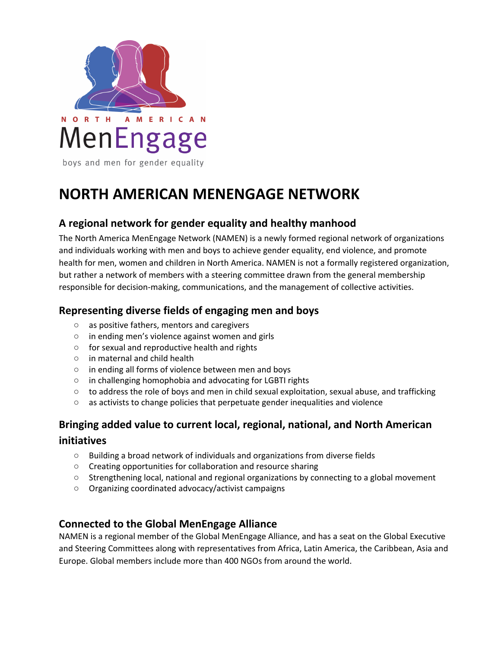

# **NORTH AMERICAN MENENGAGE NETWORK**

# **A regional network for gender equality and healthy manhood**

The North America MenEngage Network (NAMEN) is a newly formed regional network of organizations and individuals working with men and boys to achieve gender equality, end violence, and promote health for men, women and children in North America. NAMEN is not a formally registered organization, but rather a network of members with a steering committee drawn from the general membership responsible for decision-making, communications, and the management of collective activities.

## **Representing diverse fields of engaging men and boys**

- as positive fathers, mentors and caregivers
- in ending men's violence against women and girls
- for sexual and reproductive health and rights
- in maternal and child health
- in ending all forms of violence between men and boys
- in challenging homophobia and advocating for LGBTI rights
- to address the role of boys and men in child sexual exploitation, sexual abuse, and trafficking
- as activists to change policies that perpetuate gender inequalities and violence

## **Bringing added value to current local, regional, national, and North American initiatives**

- Building a broad network of individuals and organizations from diverse fields
- Creating opportunities for collaboration and resource sharing
- Strengthening local, national and regional organizations by connecting to a global movement
- Organizing coordinated advocacy/activist campaigns

#### **Connected to the Global MenEngage Alliance**

NAMEN is a regional member of the Global MenEngage Alliance, and has a seat on the Global Executive and Steering Committees along with representatives from Africa, Latin America, the Caribbean, Asia and Europe. Global members include more than 400 NGOs from around the world.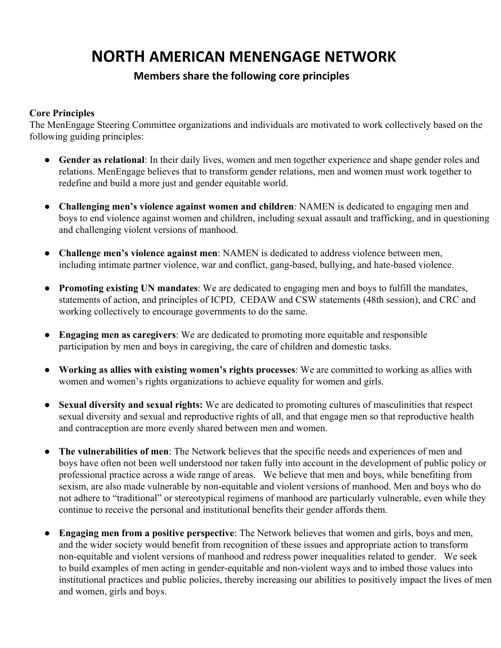# **NORTH AMERICAN MENENGAGE NETWORK**

#### **Members share the following core principles**

#### **Core Principles**

The MenEngage Steering Committee organizations and individuals are motivated to work collectively based on the following guiding principles:

- **● Gender as relational**: In their daily lives, women and men together experience and shape gender roles and relations. MenEngage believes that to transform gender relations, men and women must work together to redefine and build a more just and gender equitable world.
- **● Challenging men's violence against women and children**: NAMEN is dedicated to engaging men and boys to end violence against women and children, including sexual assault and trafficking, and in questioning and challenging violent versions of manhood.
- **● Challenge men's violence against men**: NAMEN is dedicated to address violence between men, including intimate partner violence, war and conflict, gang-based, bullying, and hate-based violence.
- **● Promoting existing UN mandates**: We are dedicated to engaging men and boys to fulfill the mandates, statements of action, and principles of ICPD, CEDAW and CSW statements (48th session), and CRC and working collectively to encourage governments to do the same.
- **● Engaging men as caregivers**: We are dedicated to promoting more equitable and responsible participation by men and boys in caregiving, the care of children and domestic tasks.
- **● Working as allies with existing women's rights processes**: We are committed to working as allies with women and women's rights organizations to achieve equality for women and girls.
- **● Sexual diversity and sexual rights:** We are dedicated to promoting cultures of masculinities that respect sexual diversity and sexual and reproductive rights of all, and that engage men so that reproductive health and contraception are more evenly shared between men and women.
- **● The vulnerabilities of men**: The Network believes that the specific needs and experiences of men and boys have often not been well understood nor taken fully into account in the development of public policy or professional practice across a wide range of areas. We believe that men and boys, while benefiting from sexism, are also made vulnerable by non-equitable and violent versions of manhood. Men and boys who do not adhere to "traditional" or stereotypical regimens of manhood are particularly vulnerable, even while they continue to receive the personal and institutional benefits their gender affords them.
- **● Engaging men from a positive perspective**: The Network believes that women and girls, boys and men, and the wider society would benefit from recognition of these issues and appropriate action to transform non-equitable and violent versions of manhood and redress power inequalities related to gender. We seek to build examples of men acting in gender-equitable and non-violent ways and to imbed those values into institutional practices and public policies, thereby increasing our abilities to positively impact the lives of men and women, girls and boys.